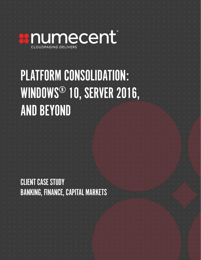

# PLATFORM CONSOLIDATION: WINDOWS® 10, SERVER 2016, AND BEYOND

CLIENT CASE STUDY BANKING, FINANCE, CAPITAL MARKETS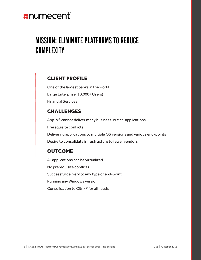# **::numecent**

# MISSION: ELIMINATE PLATFORMS TO REDUCE COMPLEXITY

#### CLIENT PROFILE

One of the largest banks in the world Large Enterprise (10,000+ Users) Financial Services

#### CHALLENGES

App-V® cannot deliver many business-critical applications Prerequisite conflicts Delivering applications to multiple OS versions and various end-points Desire to consolidate infrastructure to fewer vendors

#### **OUTCOME**

All applications can be virtualized No prerequisite conflicts Successful delivery to any type of end-point Running any Windows version Consolidation to Citrix® for all needs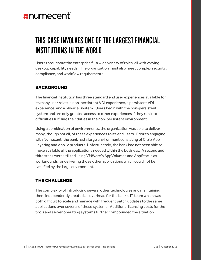# *x***numecent**

# THIS CASE INVOLVES ONE OF THE LARGEST FINANCIAL INSTITUTIONS IN THE WORLD

Users throughout the enterprise fill a wide variety of roles, all with varying desktop capability needs. The organization must also meet complex security, compliance, and workflow requirements.

#### **BACKGROUND**

The financial institution has three standard end user experiences available for its many user roles: a non-persistent VDI experience, a persistent VDI experience, and a physical system. Users begin with the non-persistent system and are only granted access to other experiences if they run into difficulties fulfilling their duties in the non-persistent environment.

Using a combination of environments, the organization was able to deliver many, though not all, of these experiences to its end users. Prior to engaging with Numecent, the bank had a large environment consisting of Citrix App Layering and App-V products. Unfortunately, the bank had not been able to make available all the applications needed within the business. A second and third stack were utilized using VMWare's AppVolumes and AppStacks as workarounds for delivering those other applications which could not be satisfied by the large environment.

#### THE CHALLENGE

The complexity of introducing several other technologies and maintaining them independently created an overhead for the bank's IT team which was both difficult to scale and manage with frequent patch updates to the same applications over several of these systems. Additional licensing costs for the tools and server operating systems further compounded the situation.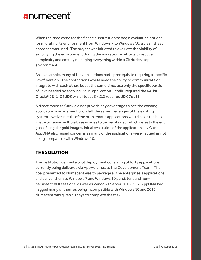### *x***numecent**

When the time came for the financial institution to begin evaluating options for migrating its environment from Windows 7 to Windows 10, a clean sheet approach was used. The project was initiated to evaluate the viability of simplifying the environment during the migration, in efforts to reduce complexity and cost by managing everything within a Citrix desktop environment.

As an example, many of the applications had a prerequisite requiring a specific Java® version. The applications would need the ability to communicate or integrate with each other, but at the same time, use only the specific version of Java needed by each individual application. IntelliJ required the 64-bit Oracle® 18\_1\_04 JDK while NodeJS 4.2.2 required JDK 7u111.

A direct move to Citrix did not provide any advantages since the existing application management tools left the same challenges of the existing system. Native installs of the problematic applications would bloat the base image or cause multiple base images to be maintained, which defeats the end goal of singular gold images. Initial evaluation of the applications by Citrix AppDNA also raised concerns as many of the applications were flagged as not being compatible with Windows 10.

#### THE SOLUTION

The institution defined a pilot deployment consisting of forty applications currently being delivered via AppVolumes to the Development Team. The goal presented to Numecent was to package all the enterprise's applications and deliver them to Windows 7 and Windows 10 persistent and nonpersistent VDI sessions, as well as Windows Server 2016 RDS. AppDNA had flagged many of them as being incompatible with Windows 10 and 2016. Numecent was given 30 days to complete the task.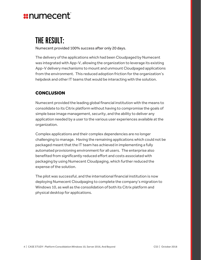# *x***numecent**

# THE RESULT:

Numecent provided 100% success after only 20 days.

The delivery of the applications which had been Cloudpaged by Numecent was integrated with App-V, allowing the organization to leverage its existing App-V delivery mechanisms to mount and unmount Cloudpaged applications from the environment. This reduced adoption friction for the organization's helpdesk and other IT teams that would be interacting with the solution.

#### **CONCLUSION**

Numecent provided the leading global financial institution with the means to consolidate to its Citrix platform without having to compromise the goals of simple base image management, security, and the ability to deliver any application needed by a user to the various user experiences available at the organization.

Complex applications and their complex dependencies are no longer challenging to manage. Having the remaining applications which could not be packaged meant that the IT team has achieved in implementing a fully automated provisioning environment for all users. The enterprise also benefited from significantly reduced effort and costs associated with packaging by using Numecent Cloudpaging, which further reduced the expense of the solution.

The pilot was successful, and the international financial institution is now deploying Numecent Cloudpaging to complete the company's migration to Windows 10, as well as the consolidation of both its Citrix platform and physical desktop for applications.